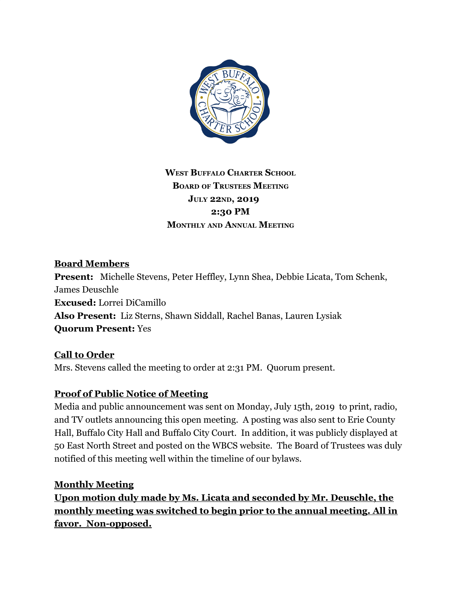

# **WEST BUFFALO CHARTER SCHOOL BOARD OF TRUSTEES MEETING JULY 22ND, 2019 2:30 PM MONTHLY AND ANNUAL MEETING**

#### **Board Members**

**Present:** Michelle Stevens, Peter Heffley, Lynn Shea, Debbie Licata, Tom Schenk, James Deuschle **Excused:** Lorrei DiCamillo **Also Present:** Liz Sterns, Shawn Siddall, Rachel Banas, Lauren Lysiak **Quorum Present:** Yes

### **Call to Order**

Mrs. Stevens called the meeting to order at 2:31 PM. Quorum present.

#### **Proof of Public Notice of Meeting**

Media and public announcement was sent on Monday, July 15th, 2019 to print, radio, and TV outlets announcing this open meeting. A posting was also sent to Erie County Hall, Buffalo City Hall and Buffalo City Court. In addition, it was publicly displayed at 50 East North Street and posted on the WBCS website. The Board of Trustees was duly notified of this meeting well within the timeline of our bylaws.

#### **Monthly Meeting**

**Upon motion duly made by Ms. Licata and seconded by Mr. Deuschle, the monthly meeting was switched to begin prior to the annual meeting. All in favor. Non-opposed.**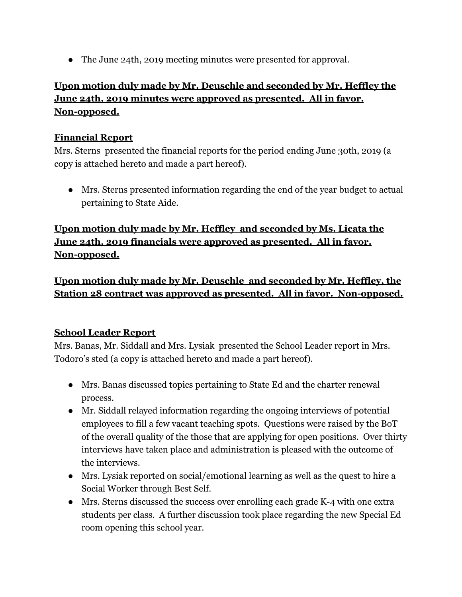● The June 24th, 2019 meeting minutes were presented for approval.

# **Upon motion duly made by Mr. Deuschle and seconded by Mr. Heffley the June 24th, 2019 minutes were approved as presented. All in favor. Non-opposed.**

#### **Financial Report**

Mrs. Sterns presented the financial reports for the period ending June 30th, 2019 (a copy is attached hereto and made a part hereof).

● Mrs. Sterns presented information regarding the end of the year budget to actual pertaining to State Aide.

### **Upon motion duly made by Mr. Heffley and seconded by Ms. Licata the June 24th, 2019 financials were approved as presented. All in favor. Non-opposed.**

**Upon motion duly made by Mr. Deuschle and seconded by Mr. Heffley, the Station 28 contract was approved as presented. All in favor. Non-opposed.**

#### **School Leader Report**

Mrs. Banas, Mr. Siddall and Mrs. Lysiak presented the School Leader report in Mrs. Todoro's sted (a copy is attached hereto and made a part hereof).

- Mrs. Banas discussed topics pertaining to State Ed and the charter renewal process.
- Mr. Siddall relayed information regarding the ongoing interviews of potential employees to fill a few vacant teaching spots. Questions were raised by the BoT of the overall quality of the those that are applying for open positions. Over thirty interviews have taken place and administration is pleased with the outcome of the interviews.
- Mrs. Lysiak reported on social/emotional learning as well as the quest to hire a Social Worker through Best Self.
- Mrs. Sterns discussed the success over enrolling each grade K-4 with one extra students per class. A further discussion took place regarding the new Special Ed room opening this school year.